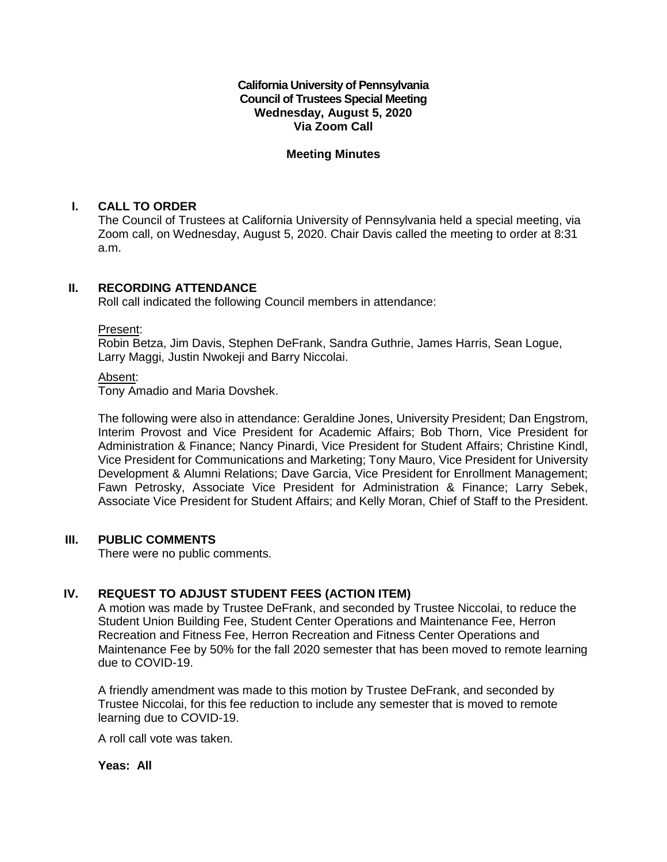**California University of Pennsylvania Council of Trustees Special Meeting Wednesday, August 5, 2020 Via Zoom Call**

# **Meeting Minutes**

# **I. CALL TO ORDER**

The Council of Trustees at California University of Pennsylvania held a special meeting, via Zoom call, on Wednesday, August 5, 2020. Chair Davis called the meeting to order at 8:31 a.m.

# **II. RECORDING ATTENDANCE**

Roll call indicated the following Council members in attendance:

#### Present:

Robin Betza, Jim Davis, Stephen DeFrank, Sandra Guthrie, James Harris, Sean Logue, Larry Maggi, Justin Nwokeji and Barry Niccolai.

#### Absent:

Tony Amadio and Maria Dovshek.

The following were also in attendance: Geraldine Jones, University President; Dan Engstrom, Interim Provost and Vice President for Academic Affairs; Bob Thorn, Vice President for Administration & Finance; Nancy Pinardi, Vice President for Student Affairs; Christine Kindl, Vice President for Communications and Marketing; Tony Mauro, Vice President for University Development & Alumni Relations; Dave Garcia, Vice President for Enrollment Management; Fawn Petrosky, Associate Vice President for Administration & Finance; Larry Sebek, Associate Vice President for Student Affairs; and Kelly Moran, Chief of Staff to the President.

### **III. PUBLIC COMMENTS**

There were no public comments.

# **IV. REQUEST TO ADJUST STUDENT FEES (ACTION ITEM)**

A motion was made by Trustee DeFrank, and seconded by Trustee Niccolai, to reduce the Student Union Building Fee, Student Center Operations and Maintenance Fee, Herron Recreation and Fitness Fee, Herron Recreation and Fitness Center Operations and Maintenance Fee by 50% for the fall 2020 semester that has been moved to remote learning due to COVID-19.

A friendly amendment was made to this motion by Trustee DeFrank, and seconded by Trustee Niccolai, for this fee reduction to include any semester that is moved to remote learning due to COVID-19.

A roll call vote was taken.

#### **Yeas: All**